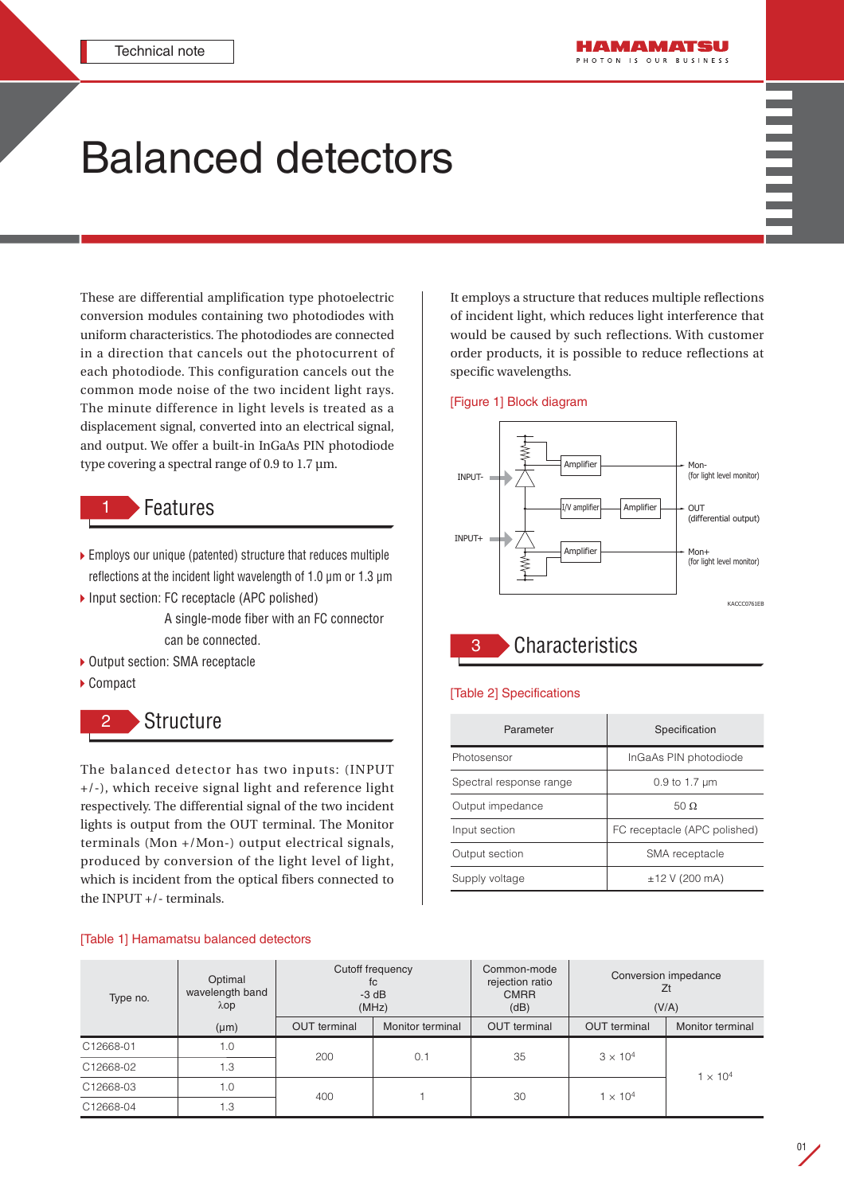# Balanced detectors

These are differential amplification type photoelectric conversion modules containing two photodiodes with uniform characteristics. The photodiodes are connected in a direction that cancels out the photocurrent of each photodiode. This configuration cancels out the common mode noise of the two incident light rays. The minute difference in light levels is treated as a displacement signal, converted into an electrical signal, and output. We offer a built-in InGaAs PIN photodiode type covering a spectral range of 0.9 to 1.7 µm.

## **Features**

- Employs our unique (patented) structure that reduces multiple reflections at the incident light wavelength of 1.0 µm or 1.3 µm
- ▶ Input section: FC receptacle (APC polished)

A single-mode fiber with an FC connector can be connected.

- ▶ Output section: SMA receptacle
- ▶ Compact

## **Structure**

The balanced detector has two inputs: (INPUT +/-), which receive signal light and reference light respectively. The differential signal of the two incident lights is output from the OUT terminal. The Monitor terminals (Mon +/Mon-) output electrical signals, produced by conversion of the light level of light, which is incident from the optical fibers connected to the INPUT +/- terminals.

#### [Table 1] Hamamatsu balanced detectors

It employs a structure that reduces multiple reflections of incident light, which reduces light interference that would be caused by such reflections. With customer order products, it is possible to reduce reflections at specific wavelengths.

#### [Figure 1] Block diagram



3 Characteristics

#### [Table 2] Specifications

| Parameter               | Specification                |  |  |
|-------------------------|------------------------------|--|--|
| Photosensor             | InGaAs PIN photodiode        |  |  |
| Spectral response range | 0.9 to 1.7 $\mu$ m           |  |  |
| Output impedance        | 50 $\Omega$                  |  |  |
| Input section           | FC receptacle (APC polished) |  |  |
| Output section          | SMA receptacle               |  |  |
| Supply voltage          | $±12$ V (200 mA)             |  |  |

| Type no.  | Optimal<br>wavelength band<br>$\lambda$ OD | Cutoff frequency<br>fc<br>$-3$ dB<br>(MHz) |                  | Common-mode<br>rejection ratio<br><b>CMRR</b><br>(dB) | Conversion impedance<br>Zt<br>(V/A) |                  |
|-----------|--------------------------------------------|--------------------------------------------|------------------|-------------------------------------------------------|-------------------------------------|------------------|
|           | $(\mu m)$                                  | <b>OUT</b> terminal                        | Monitor terminal | <b>OUT</b> terminal                                   | <b>OUT</b> terminal                 | Monitor terminal |
| C12668-01 | 1.0                                        | 200                                        | 0.1              | 35                                                    | $3 \times 10^{4}$                   | $1 \times 10^4$  |
| C12668-02 | 1.3                                        |                                            |                  |                                                       |                                     |                  |
| C12668-03 | 1.0                                        | 400                                        |                  | 30                                                    | $1 \times 10^4$                     |                  |
| C12668-04 | 1.3                                        |                                            |                  |                                                       |                                     |                  |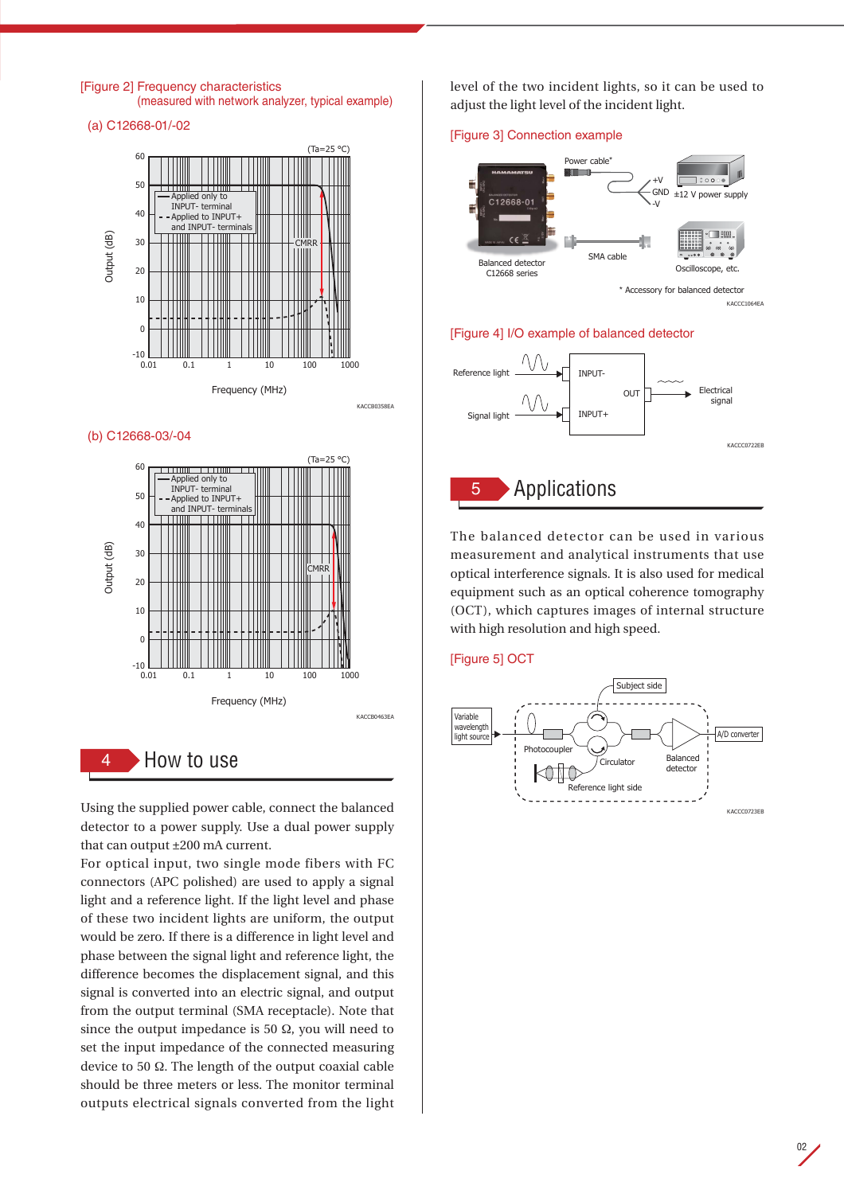

#### (b) C12668-03/-04



Using the supplied power cable, connect the balanced detector to a power supply. Use a dual power supply that can output ±200 mA current.

For optical input, two single mode fibers with FC connectors (APC polished) are used to apply a signal light and a reference light. If the light level and phase of these two incident lights are uniform, the output would be zero. If there is a difference in light level and phase between the signal light and reference light, the difference becomes the displacement signal, and this signal is converted into an electric signal, and output from the output terminal (SMA receptacle). Note that since the output impedance is 50  $\Omega$ , you will need to set the input impedance of the connected measuring device to 50 Ω. The length of the output coaxial cable should be three meters or less. The monitor terminal outputs electrical signals converted from the light

level of the two incident lights, so it can be used to adjust the light level of the incident light.

#### [Figure 3] Connection example



### [Figure 4] I/O example of balanced detector



The balanced detector can be used in various measurement and analytical instruments that use optical interference signals. It is also used for medical equipment such as an optical coherence tomography (OCT), which captures images of internal structure with high resolution and high speed.

#### [Figure 5] OCT



02